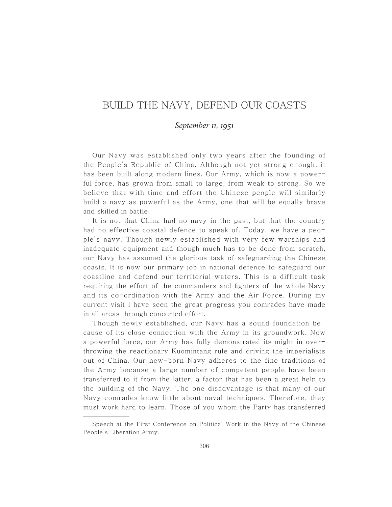## BUILD THE NAVY, DEFEND OUR COASTS

## *September 11,* **1951**

Our Navy was established only two years after the founding of the People's Republic of China. Although not yet strong enough, it has been built along modern lines. Our Army, which is now a powerful force, has grown from small to large, from weak to strong. So we believe that with time and effort the Chinese people will similarly build a navy as powerful as the Army, one that will be equally brave and skilled in battle.

It is not that China had no navy in the past, but that the country had no effective coastal defence to speak of. Today, we have a people's navy. Though newly established with very few warships and inadequate equipment and though much has to be done from scratch, our Navy has assumed the glorious task of safeguarding the Chinese coasts. It is now our primary job in national defence to safeguard our coastline and defend our territorial waters. This is a difficult task requiring the effort of the commanders and fighters of the whole Navy and its co-ordination with the Army and the Air Force. During my current visit I have seen the great progress you comrades have made in all areas through concerted effort.

Though newly established, our Navy has a sound foundation because of its close connection with the Army in its groundwork. Now a powerful force, our Army has fully demonstrated its might in overthrowing the reactionary Kuomintang rule and driving the imperialists out of China. Our new-born Navy adheres to the fine traditions of the Army because a large number of competent people have been transferred to it from the latter, a factor that has been a great help to the building of the Navy. The one disadvantage is that many of our Navy comrades know little about naval techniques. Therefore, they must work hard to learn. Those of you whom the Party has transferred

Speech at the First Conference on Political Work in the Navy of the Chinese People's Liberation Army.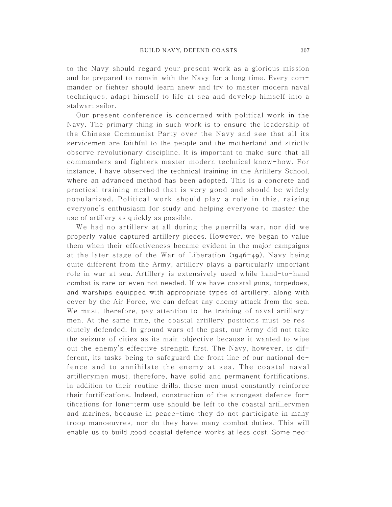to the Navy should regard your present work as a glorious mission and be prepared to remain with the Navy for a long time . Every commander or fighter should learn anew and try to master modern naval techniques, adapt himself to life at sea and develop himself into a stalwart sailor.

Our present conference is concerned with political work in the Navy. The primary thing in such work is to ensure the leadership of the Chinese Communist Party over the Navy and see that all its servicemen are faithful to the people and the motherland and strictly observe revolutionary discipline. It is important to make sure that all commanders and fighters master modern technical know-how. For instance, I have observed the technical training in the Artillery School, where an advanced method has been adopted. This is a concrete and practical training method that is very good and should be widely popularized. Political work should play a role in this, raising everyone's enthusiasm for study and helping everyone to master the use of artillery as quickly as possible.

We had no artillery at all during the guerrilla war, nor did we properly value captured artillery pieces. However, we began to value them when their effectiveness became evident in the major campaigns at the later stage of the War of Liberation (1946-49). Navy being quite different from the Army, artillery plays a particularly important role in war at sea. Artillery is extensively used while hand-to-hand combat is rare or even not needed. If we have coastal guns, torpedoes, and warships equipped with appropriate types of artillery, along with cover by the Air Force, we can defeat any enemy attack from the sea. We must, therefore, pay attention to the training of naval artillerymen. At the same time, the coastal artillery positions must be resolutely defended. In ground wars of the past, our Army did not take the seizure of cities as its main objective because it wanted to wipe out the enemy's effective strength first. The Navy, however, is different, its tasks being to safeguard the front line of our national defence and to annihilate the enemy at sea. The coastal naval artillerymen must, therefore, have solid and permanent fortifications. In addition to their routine drills, these men must constantly reinforce their fortifications. Indeed, construction of the strongest defence fortifications for long-term use should be left to the coastal artillerymen and marines, because in peace-time they do not participate in many troop manoeuvres, nor do they have many combat duties. This will enable us to build good coastal defence works at less cost. Some peo-